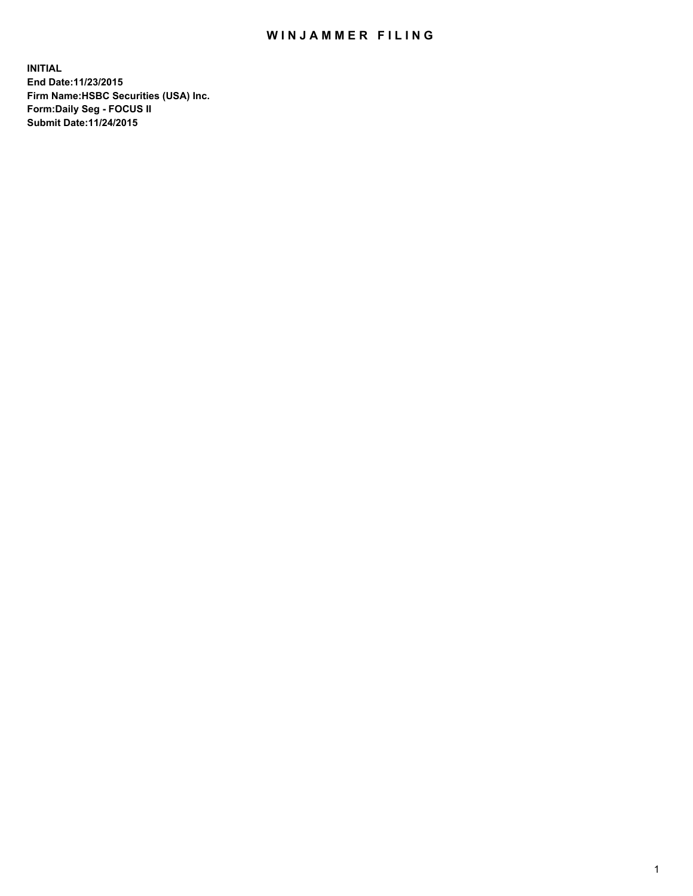## WIN JAMMER FILING

**INITIAL End Date:11/23/2015 Firm Name:HSBC Securities (USA) Inc. Form:Daily Seg - FOCUS II Submit Date:11/24/2015**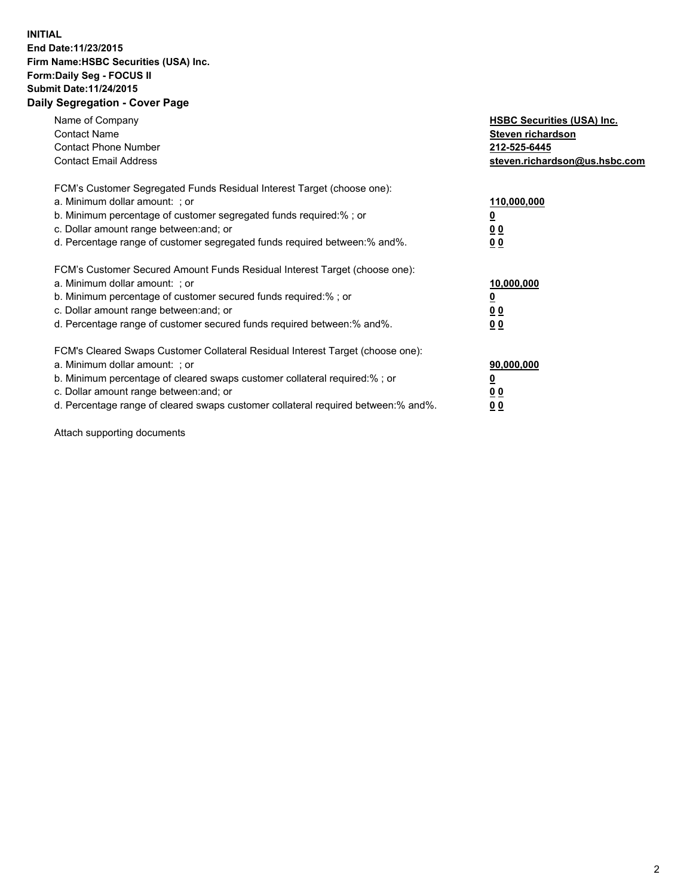## **INITIAL End Date:11/23/2015 Firm Name:HSBC Securities (USA) Inc. Form:Daily Seg - FOCUS II Submit Date:11/24/2015 Daily Segregation - Cover Page**

| Name of Company<br><b>Contact Name</b><br><b>Contact Phone Number</b><br><b>Contact Email Address</b>                                                                                                                                                                                                                         | <b>HSBC Securities (USA) Inc.</b><br>Steven richardson<br>212-525-6445<br>steven.richardson@us.hsbc.com |
|-------------------------------------------------------------------------------------------------------------------------------------------------------------------------------------------------------------------------------------------------------------------------------------------------------------------------------|---------------------------------------------------------------------------------------------------------|
| FCM's Customer Segregated Funds Residual Interest Target (choose one):<br>a. Minimum dollar amount: ; or<br>b. Minimum percentage of customer segregated funds required: % ; or<br>c. Dollar amount range between: and; or<br>d. Percentage range of customer segregated funds required between:% and%.                       | 110,000,000<br><u>0</u><br>0 <sub>0</sub><br>0 <sub>0</sub>                                             |
| FCM's Customer Secured Amount Funds Residual Interest Target (choose one):<br>a. Minimum dollar amount: ; or<br>b. Minimum percentage of customer secured funds required:%; or<br>c. Dollar amount range between: and; or<br>d. Percentage range of customer secured funds required between:% and%.                           | 10,000,000<br><u>0</u><br>0 <sub>0</sub><br>0 <sub>0</sub>                                              |
| FCM's Cleared Swaps Customer Collateral Residual Interest Target (choose one):<br>a. Minimum dollar amount: ; or<br>b. Minimum percentage of cleared swaps customer collateral required:%; or<br>c. Dollar amount range between: and; or<br>d. Percentage range of cleared swaps customer collateral required between:% and%. | 90,000,000<br><u>0</u><br>0 <sub>0</sub><br>0 <sub>0</sub>                                              |

Attach supporting documents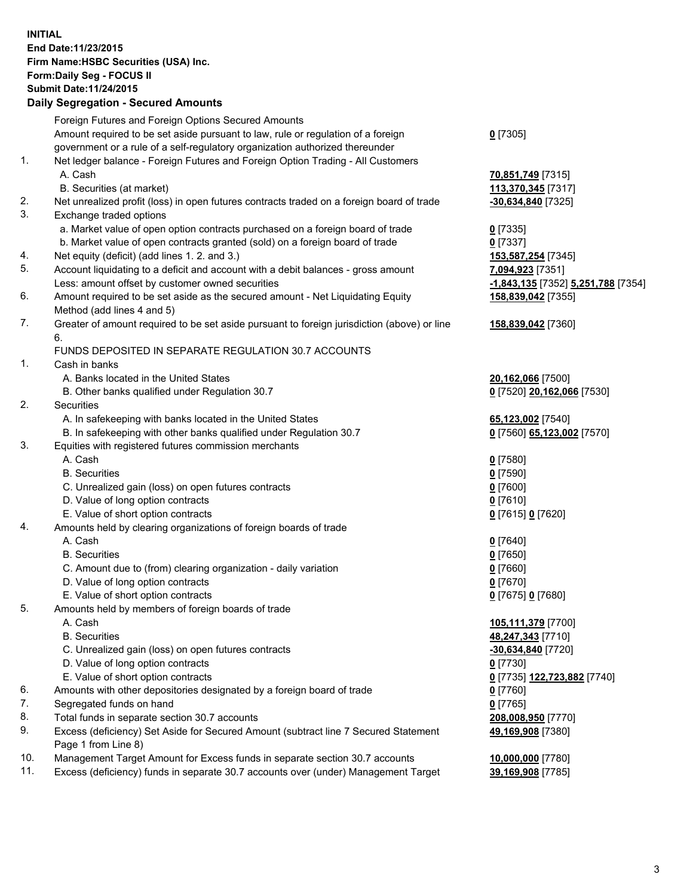**INITIAL End Date:11/23/2015 Firm Name:HSBC Securities (USA) Inc. Form:Daily Seg - FOCUS II Submit Date:11/24/2015**

## **Daily Segregation - Secured Amounts**

|     | Foreign Futures and Foreign Options Secured Amounts                                         |                                                          |
|-----|---------------------------------------------------------------------------------------------|----------------------------------------------------------|
|     | Amount required to be set aside pursuant to law, rule or regulation of a foreign            | $0$ [7305]                                               |
|     | government or a rule of a self-regulatory organization authorized thereunder                |                                                          |
| 1.  | Net ledger balance - Foreign Futures and Foreign Option Trading - All Customers             |                                                          |
|     | A. Cash                                                                                     | 70,851,749 [7315]                                        |
|     | B. Securities (at market)                                                                   | 113,370,345 [7317]                                       |
| 2.  | Net unrealized profit (loss) in open futures contracts traded on a foreign board of trade   | $-30,634,840$ [7325]                                     |
| 3.  | Exchange traded options                                                                     |                                                          |
|     | a. Market value of open option contracts purchased on a foreign board of trade              | $0$ [7335]                                               |
|     | b. Market value of open contracts granted (sold) on a foreign board of trade                | $0$ [7337]                                               |
| 4.  | Net equity (deficit) (add lines 1. 2. and 3.)                                               | 153,587,254 [7345]                                       |
| 5.  | Account liquidating to a deficit and account with a debit balances - gross amount           |                                                          |
|     | Less: amount offset by customer owned securities                                            | 7,094,923 [7351]                                         |
| 6.  | Amount required to be set aside as the secured amount - Net Liquidating Equity              | -1,843,135 [7352] 5,251,788 [7354]<br>158,839,042 [7355] |
|     | Method (add lines 4 and 5)                                                                  |                                                          |
| 7.  | Greater of amount required to be set aside pursuant to foreign jurisdiction (above) or line |                                                          |
|     | 6.                                                                                          | 158,839,042 [7360]                                       |
|     | FUNDS DEPOSITED IN SEPARATE REGULATION 30.7 ACCOUNTS                                        |                                                          |
| 1.  | Cash in banks                                                                               |                                                          |
|     | A. Banks located in the United States                                                       |                                                          |
|     |                                                                                             | 20,162,066 [7500]                                        |
|     | B. Other banks qualified under Regulation 30.7                                              | 0 [7520] 20,162,066 [7530]                               |
| 2.  | Securities                                                                                  |                                                          |
|     | A. In safekeeping with banks located in the United States                                   | 65,123,002 [7540]                                        |
|     | B. In safekeeping with other banks qualified under Regulation 30.7                          | 0 [7560] 65,123,002 [7570]                               |
| 3.  | Equities with registered futures commission merchants                                       |                                                          |
|     | A. Cash                                                                                     | $0$ [7580]                                               |
|     | <b>B.</b> Securities                                                                        | $0$ [7590]                                               |
|     | C. Unrealized gain (loss) on open futures contracts                                         | $0$ [7600]                                               |
|     | D. Value of long option contracts                                                           | $0$ [7610]                                               |
|     | E. Value of short option contracts                                                          | 0 [7615] 0 [7620]                                        |
| 4.  | Amounts held by clearing organizations of foreign boards of trade                           |                                                          |
|     | A. Cash                                                                                     | $0$ [7640]                                               |
|     | <b>B.</b> Securities                                                                        | $0$ [7650]                                               |
|     | C. Amount due to (from) clearing organization - daily variation                             | $0$ [7660]                                               |
|     | D. Value of long option contracts                                                           | $0$ [7670]                                               |
|     | E. Value of short option contracts                                                          | 0 [7675] 0 [7680]                                        |
| 5.  | Amounts held by members of foreign boards of trade                                          |                                                          |
|     | A. Cash                                                                                     | 105,111,379 [7700]                                       |
|     | <b>B.</b> Securities                                                                        | 48,247,343 [7710]                                        |
|     | C. Unrealized gain (loss) on open futures contracts                                         | -30,634,840 [7720]                                       |
|     | D. Value of long option contracts                                                           | $0$ [7730]                                               |
|     | E. Value of short option contracts                                                          | 0 [7735] 122,723,882 [7740]                              |
| 6.  | Amounts with other depositories designated by a foreign board of trade                      | $0$ [7760]                                               |
| 7.  | Segregated funds on hand                                                                    | $0$ [7765]                                               |
| 8.  | Total funds in separate section 30.7 accounts                                               | 208,008,950 [7770]                                       |
| 9.  | Excess (deficiency) Set Aside for Secured Amount (subtract line 7 Secured Statement         | 49,169,908 [7380]                                        |
|     | Page 1 from Line 8)                                                                         |                                                          |
| 10. | Management Target Amount for Excess funds in separate section 30.7 accounts                 | 10,000,000 [7780]                                        |
| 11. | Excess (deficiency) funds in separate 30.7 accounts over (under) Management Target          | 39,169,908 [7785]                                        |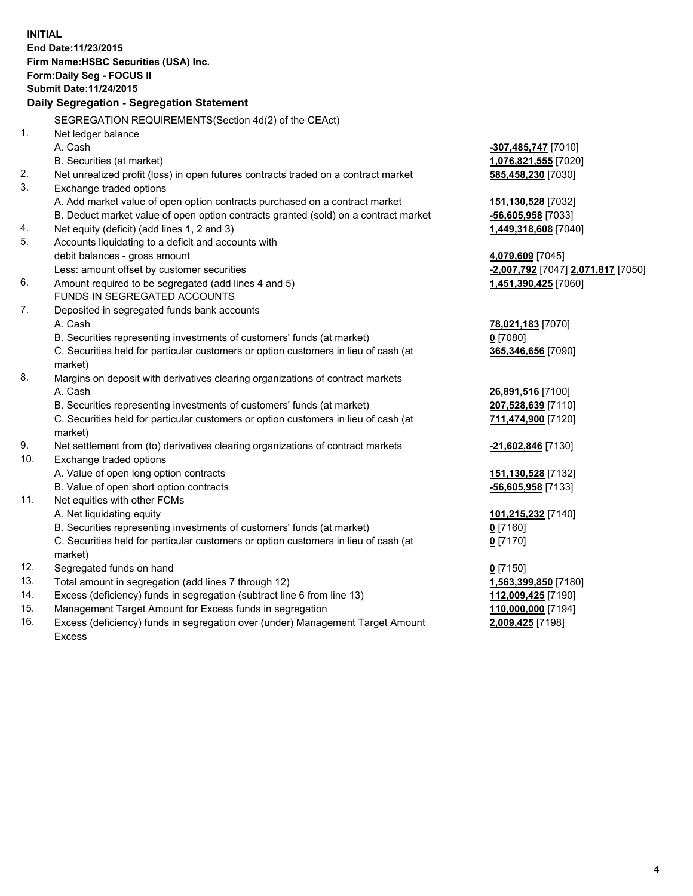**INITIAL End Date:11/23/2015 Firm Name:HSBC Securities (USA) Inc. Form:Daily Seg - FOCUS II Submit Date:11/24/2015 Daily Segregation - Segregation Statement** SEGREGATION REQUIREMENTS(Section 4d(2) of the CEAct) 1. Net ledger balance A. Cash **-307,485,747** [7010] B. Securities (at market) **1,076,821,555** [7020] 2. Net unrealized profit (loss) in open futures contracts traded on a contract market **585,458,230** [7030] 3. Exchange traded options A. Add market value of open option contracts purchased on a contract market **151,130,528** [7032] B. Deduct market value of open option contracts granted (sold) on a contract market **-56,605,958** [7033] 4. Net equity (deficit) (add lines 1, 2 and 3) **1,449,318,608** [7040] 5. Accounts liquidating to a deficit and accounts with debit balances - gross amount **4,079,609** [7045] Less: amount offset by customer securities **-2,007,792** [7047] **2,071,817** [7050] 6. Amount required to be segregated (add lines 4 and 5) **1,451,390,425** [7060] FUNDS IN SEGREGATED ACCOUNTS 7. Deposited in segregated funds bank accounts A. Cash **78,021,183** [7070] B. Securities representing investments of customers' funds (at market) **0** [7080] C. Securities held for particular customers or option customers in lieu of cash (at market) **365,346,656** [7090] 8. Margins on deposit with derivatives clearing organizations of contract markets A. Cash **26,891,516** [7100] B. Securities representing investments of customers' funds (at market) **207,528,639** [7110] C. Securities held for particular customers or option customers in lieu of cash (at market) **711,474,900** [7120] 9. Net settlement from (to) derivatives clearing organizations of contract markets **-21,602,846** [7130] 10. Exchange traded options A. Value of open long option contracts **151,130,528** [7132] B. Value of open short option contracts **-56,605,958** [7133] 11. Net equities with other FCMs A. Net liquidating equity **101,215,232** [7140] B. Securities representing investments of customers' funds (at market) **0** [7160] C. Securities held for particular customers or option customers in lieu of cash (at market) **0** [7170] 12. Segregated funds on hand **0** [7150] 13. Total amount in segregation (add lines 7 through 12) **1,563,399,850** [7180] 14. Excess (deficiency) funds in segregation (subtract line 6 from line 13) **112,009,425** [7190] 15. Management Target Amount for Excess funds in segregation **110,000,000** [7194]

16. Excess (deficiency) funds in segregation over (under) Management Target Amount Excess

**2,009,425** [7198]